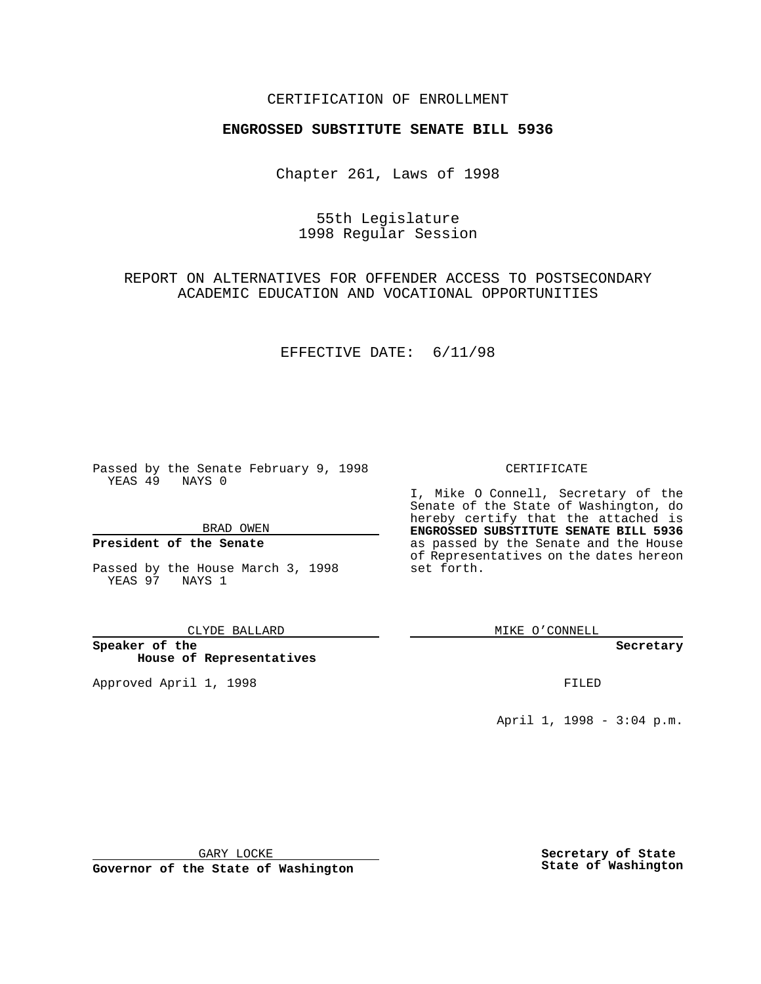### CERTIFICATION OF ENROLLMENT

# **ENGROSSED SUBSTITUTE SENATE BILL 5936**

Chapter 261, Laws of 1998

# 55th Legislature 1998 Regular Session

REPORT ON ALTERNATIVES FOR OFFENDER ACCESS TO POSTSECONDARY ACADEMIC EDUCATION AND VOCATIONAL OPPORTUNITIES

#### EFFECTIVE DATE: 6/11/98

Passed by the Senate February 9, 1998 YEAS 49 NAYS 0

BRAD OWEN

### **President of the Senate**

Passed by the House March 3, 1998 YEAS 97 NAYS 1

CLYDE BALLARD

**Speaker of the House of Representatives**

Approved April 1, 1998 **FILED** 

### CERTIFICATE

I, Mike O Connell, Secretary of the Senate of the State of Washington, do hereby certify that the attached is **ENGROSSED SUBSTITUTE SENATE BILL 5936** as passed by the Senate and the House of Representatives on the dates hereon set forth.

MIKE O'CONNELL

**Secretary**

April 1, 1998 - 3:04 p.m.

GARY LOCKE

**Governor of the State of Washington**

**Secretary of State State of Washington**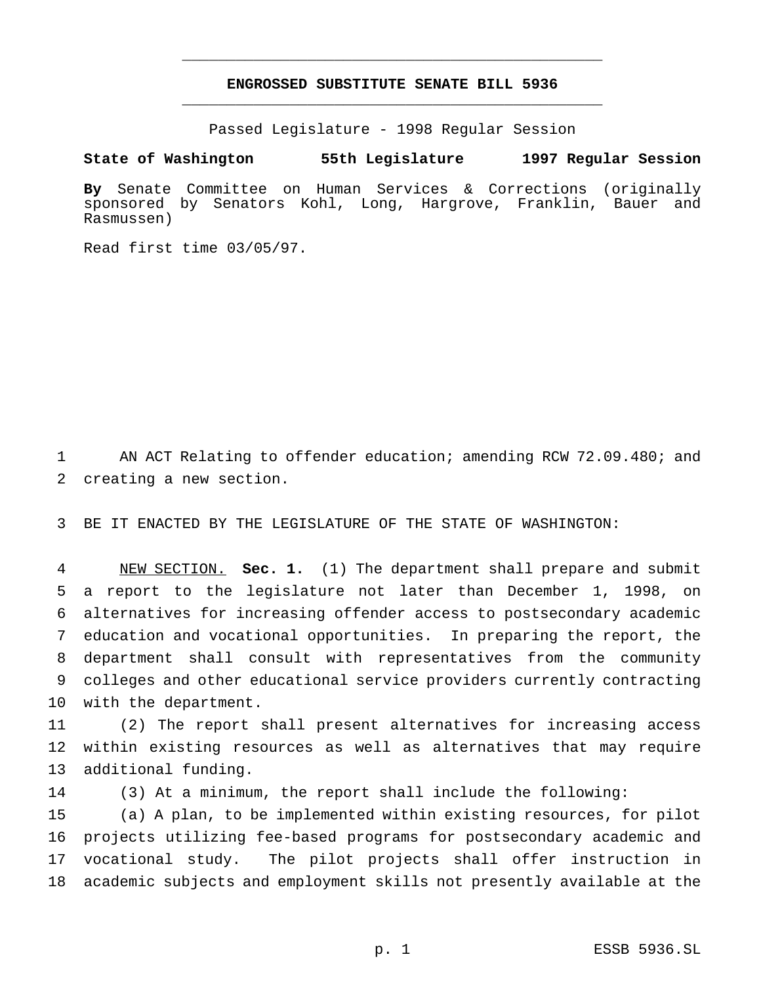## **ENGROSSED SUBSTITUTE SENATE BILL 5936** \_\_\_\_\_\_\_\_\_\_\_\_\_\_\_\_\_\_\_\_\_\_\_\_\_\_\_\_\_\_\_\_\_\_\_\_\_\_\_\_\_\_\_\_\_\_\_

\_\_\_\_\_\_\_\_\_\_\_\_\_\_\_\_\_\_\_\_\_\_\_\_\_\_\_\_\_\_\_\_\_\_\_\_\_\_\_\_\_\_\_\_\_\_\_

Passed Legislature - 1998 Regular Session

**State of Washington 55th Legislature 1997 Regular Session**

**By** Senate Committee on Human Services & Corrections (originally sponsored by Senators Kohl, Long, Hargrove, Franklin, Bauer and Rasmussen)

Read first time 03/05/97.

 AN ACT Relating to offender education; amending RCW 72.09.480; and creating a new section.

BE IT ENACTED BY THE LEGISLATURE OF THE STATE OF WASHINGTON:

 NEW SECTION. **Sec. 1.** (1) The department shall prepare and submit a report to the legislature not later than December 1, 1998, on alternatives for increasing offender access to postsecondary academic education and vocational opportunities. In preparing the report, the department shall consult with representatives from the community colleges and other educational service providers currently contracting with the department.

 (2) The report shall present alternatives for increasing access within existing resources as well as alternatives that may require additional funding.

(3) At a minimum, the report shall include the following:

 (a) A plan, to be implemented within existing resources, for pilot projects utilizing fee-based programs for postsecondary academic and vocational study. The pilot projects shall offer instruction in academic subjects and employment skills not presently available at the